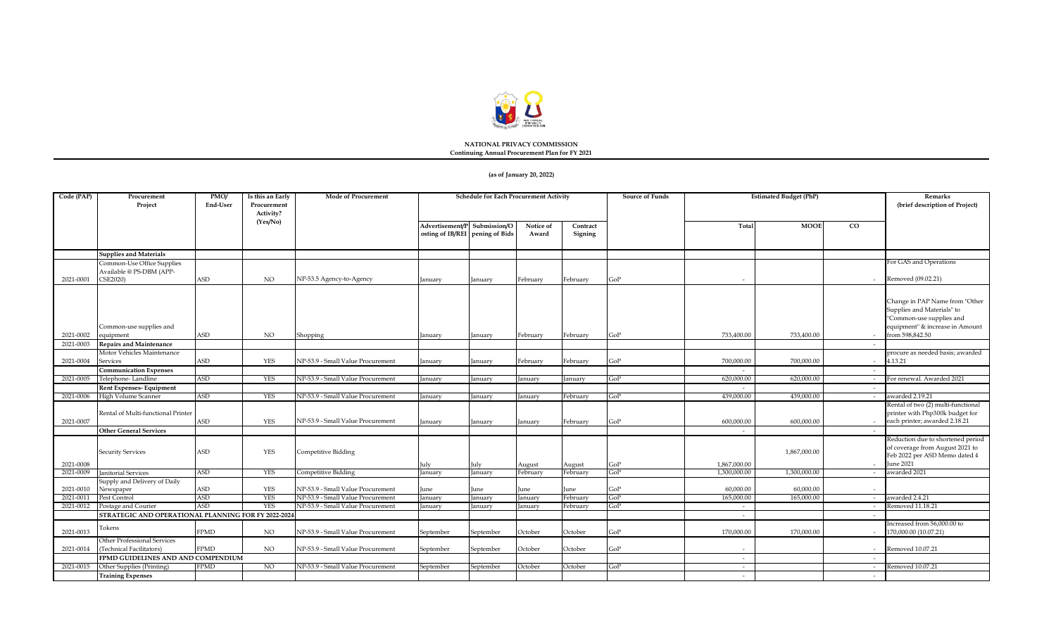

#### **NATIONAL PRIVACY COMMISSION Continuing Annual Procurement Plan for FY 2021**

#### **(as of January 20, 2022)**

| Code (PAP) | Procurement<br>Project                              | PMO/<br>End-User            | Is this an Early<br>Procurement<br>Activity? | <b>Mode of Procurement</b>        |                                                    | <b>Schedule for Each Procurement Activity</b> |                    |                     | Source of Funds             |                          | <b>Estimated Budget (PhP)</b> |             | Remarks<br>(brief description of Project)                                                                                   |
|------------|-----------------------------------------------------|-----------------------------|----------------------------------------------|-----------------------------------|----------------------------------------------------|-----------------------------------------------|--------------------|---------------------|-----------------------------|--------------------------|-------------------------------|-------------|-----------------------------------------------------------------------------------------------------------------------------|
|            |                                                     |                             | (Yes/No)                                     |                                   | Advertisement/P<br>osting of IB/REI pening of Bids | Submission/O                                  | Notice of<br>Award | Contract<br>Signing |                             | Total                    | <b>MOOE</b>                   | $_{\rm CO}$ |                                                                                                                             |
|            | <b>Supplies and Materials</b>                       |                             |                                              |                                   |                                                    |                                               |                    |                     |                             |                          |                               |             |                                                                                                                             |
|            | Common-Use Office Supplies                          |                             |                                              |                                   |                                                    |                                               |                    |                     |                             |                          |                               |             | For GAS and Operations                                                                                                      |
|            | Available @ PS-DBM (APP-                            |                             |                                              | NP-53.5 Agency-to-Agency          |                                                    |                                               |                    |                     |                             |                          |                               |             | Removed (09.02.21)                                                                                                          |
| 2021-0001  | CSE2020)                                            | $\ensuremath{\mathsf{ASD}}$ | NO.                                          |                                   | anuary                                             | January                                       | Februarv           | February            | GoP                         |                          |                               |             |                                                                                                                             |
|            | Common-use supplies and                             |                             |                                              |                                   |                                                    |                                               |                    |                     |                             |                          |                               |             | Change in PAP Name from "Other<br>Supplies and Materials" to<br>"Common-use supplies and<br>equipment" & increase in Amount |
| 2021-0002  | equipment                                           | <b>ASD</b>                  | NO.                                          | Shopping                          | anuary                                             | January                                       | Februarv           | February            | GoP                         | 733,400.00               | 733,400.00                    |             | from 598,842.50                                                                                                             |
| 2021-0003  | <b>Repairs and Maintenance</b>                      |                             |                                              |                                   |                                                    |                                               |                    |                     |                             |                          |                               |             |                                                                                                                             |
|            | Motor Vehicles Maintenance                          |                             |                                              |                                   |                                                    |                                               |                    |                     |                             |                          |                               |             | procure as needed basis; awarded                                                                                            |
| 2021-0004  | Services                                            | <b>ASD</b>                  | <b>YES</b>                                   | NP-53.9 - Small Value Procurement | anuarv                                             | Ianuarv                                       | February           | February            | GoP                         | 700,000,00               | 700,000,00                    |             | 4.13.21                                                                                                                     |
|            | <b>Communication Expenses</b>                       |                             |                                              |                                   |                                                    |                                               |                    |                     |                             | $\sim$                   |                               | $\sim$      |                                                                                                                             |
| 2021-0005  | Telephone-Landline                                  | <b>ASD</b>                  | <b>YES</b>                                   | NP-53.9 - Small Value Procurement | January                                            | January                                       | January            | January             | GoP                         | 620,000.00               | 620,000.00                    |             | For renewal. Awarded 2021                                                                                                   |
|            | Rent Expenses-Equipment                             |                             |                                              |                                   |                                                    |                                               |                    |                     |                             | $\overline{\phantom{a}}$ |                               |             |                                                                                                                             |
| 2021-0006  | High Volume Scanner                                 | ASD                         | YES                                          | NP-53.9 - Small Value Procurement | anuary                                             | January                                       | January            | February            | GoP                         | 439,000.00               | 439,000.00                    | $\sim$      | awarded 2.19.21<br>Rental of two (2) multi-functional                                                                       |
| 2021-0007  | Rental of Multi-functional Printer                  | ASD                         | <b>YES</b>                                   | NP-53.9 - Small Value Procurement | anuary                                             | January                                       | January            | February            | GoP                         | 600,000.00               | 600,000.00                    |             | printer with Php300k budget for<br>each printer; awarded 2.18.21                                                            |
|            | <b>Other General Services</b>                       |                             |                                              |                                   |                                                    |                                               |                    |                     |                             |                          |                               |             |                                                                                                                             |
| 2021-0008  | <b>Security Services</b>                            | ASD                         | YES                                          | Competitive Bidding               | ulv                                                | July                                          | August             | August              | GoP                         | 1,867,000.00             | 1,867,000.00                  |             | Reduction due to shortened period<br>of coverage from August 2021 to<br>Feb 2022 per ASD Memo dated 4<br><b>June 2021</b>   |
| 2021-0009  | <b>Janitorial Services</b>                          | <b>ASD</b>                  | <b>YES</b>                                   | Competitive Bidding               | anuary                                             | January                                       | February           | February            | GoP                         | 1,300,000.00             | 1,300,000.00                  |             | awarded 2021                                                                                                                |
|            | Supply and Delivery of Daily                        |                             |                                              |                                   |                                                    |                                               |                    |                     |                             |                          |                               |             |                                                                                                                             |
| 2021-0010  | Newspaper                                           | $\ensuremath{\mathsf{ASD}}$ | YES                                          | NP-53.9 - Small Value Procurement | une                                                | June                                          | une                | June                | GoP                         | 60,000.00                | 60,000.00                     |             |                                                                                                                             |
| 2021-0011  | Pest Control                                        | <b>ASD</b>                  | <b>YES</b>                                   | NP-53.9 - Small Value Procurement | January                                            | January                                       | January            | February            | GoP                         | 165,000.00               | 165,000.00                    | $\sim$      | awarded 2.4.21                                                                                                              |
| 2021-0012  | Postage and Courier                                 | <b>ASD</b>                  | <b>YES</b>                                   | NP-53.9 - Small Value Procurement | anuary                                             | anuary                                        | January            | February            | $\overline{3}0\overline{P}$ | $\sim$                   |                               |             | Removed 11.18.21                                                                                                            |
|            | STRATEGIC AND OPERATIONAL PLANNING FOR FY 2022-2024 |                             |                                              |                                   |                                                    |                                               |                    |                     |                             | $\sim$                   |                               |             |                                                                                                                             |
| 2021-0013  | Tokens                                              | <b>FPMD</b>                 | NO.                                          | NP-53.9 - Small Value Procurement | September                                          | September                                     | October            | October             | GoP                         | 170,000.00               | 170,000.00                    |             | Increased from 56,000.00 to<br>170,000.00 (10.07.21)                                                                        |
|            | Other Professional Services                         |                             |                                              |                                   |                                                    |                                               |                    |                     |                             |                          |                               |             |                                                                                                                             |
| 2021-0014  | (Technical Facilitators)                            | <b>FPMD</b>                 | NO.                                          | NP-53.9 - Small Value Procurement | September                                          | September                                     | October            | October             | GoP                         |                          |                               |             | Removed 10.07.21                                                                                                            |
| 2021-0015  | FPMD GUIDELINES AND AND COMPENDIUM                  | <b>FPMD</b>                 | N <sub>O</sub>                               | NP-53.9 - Small Value Procurement |                                                    |                                               |                    |                     | GoP                         | $\sim$                   |                               |             | Removed 10.07.21                                                                                                            |
|            | Other Supplies (Printing)                           |                             |                                              |                                   | September                                          | September                                     | October            | October             |                             | $\sim$                   |                               |             |                                                                                                                             |
|            | <b>Training Expenses</b>                            |                             |                                              |                                   |                                                    |                                               |                    |                     |                             | $\sim$                   |                               | $\sim$      |                                                                                                                             |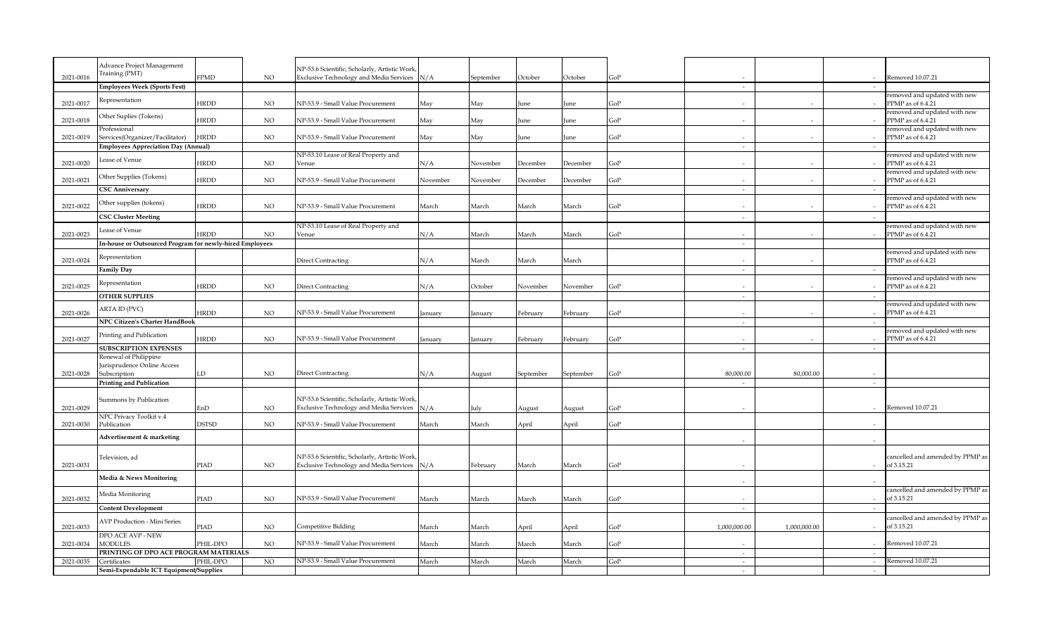|           | Advance Project Management                               |              |             | NP-53.6 Scientific, Scholarly, Artistic Work                                                   |          |           |           |           |     |                             |              |        |                                                   |
|-----------|----------------------------------------------------------|--------------|-------------|------------------------------------------------------------------------------------------------|----------|-----------|-----------|-----------|-----|-----------------------------|--------------|--------|---------------------------------------------------|
| 2021-0016 | Training (PMT)                                           | <b>FPMD</b>  | <b>NO</b>   | <b>Exclusive Technology and Media Services</b>                                                 | N/A      | September | October   | October   | GoP |                             |              |        | Removed 10.07.21                                  |
|           | Employees Week (Sports Fest)                             |              |             |                                                                                                |          |           |           |           |     | $\mathcal{L}_{\mathcal{A}}$ |              |        |                                                   |
|           |                                                          |              |             |                                                                                                |          |           |           |           |     |                             |              |        | removed and updated with new                      |
| 2021-0017 | Representation                                           | <b>HRDD</b>  | $_{\rm NO}$ | NP-53.9 - Small Value Procurement                                                              | May      | May       | June      | June      | GoP | $\sim$                      |              |        | PPMP as of 6.4.21                                 |
|           | Other Suplies (Tokens)                                   |              |             |                                                                                                |          |           |           |           |     |                             |              |        | removed and updated with new                      |
| 2021-0018 |                                                          | <b>HRDD</b>  | $_{\rm NO}$ | NP-53.9 - Small Value Procurement                                                              | May      | May       | lune      | June      | GoP | $\sim$                      |              |        | PPMP as of 6.4.21                                 |
| 2021-0019 | Professional<br>Services(Organizer/Facilitator)          | <b>HRDD</b>  | NO.         | NP-53.9 - Small Value Procurement                                                              | May      | May       | une)      | June      | GoP | $\sim$                      |              |        | removed and updated with new<br>PPMP as of 6.4.21 |
|           | <b>Employees Appreciation Day (Annual)</b>               |              |             |                                                                                                |          |           |           |           |     | $\sim$                      |              | $\sim$ |                                                   |
|           |                                                          |              |             | NP-53.10 Lease of Real Property and                                                            |          |           |           |           |     |                             |              |        | removed and updated with new                      |
| 2021-0020 | Lease of Venue                                           | HRDD         | $_{\rm NO}$ | Venue                                                                                          | N/A      | November  | December  | December  | GoP |                             |              |        | PPMP as of 6.4.21                                 |
|           | Other Supplies (Tokens)                                  |              |             |                                                                                                |          |           |           |           |     |                             |              |        | removed and updated with new                      |
| 2021-0021 |                                                          | <b>HRDD</b>  | $_{\rm NO}$ | NP-53.9 - Small Value Procurement                                                              | November | November  | December  | December  | GoP | $\sim$                      |              |        | PPMP as of 6.4.21                                 |
|           | <b>CSC Anniversary</b>                                   |              |             |                                                                                                |          |           |           |           |     | $\sim$                      |              | $\sim$ |                                                   |
| 2021-0022 | Other supplies (tokens)                                  | HRDD         | NO          | NP-53.9 - Small Value Procurement                                                              | March    | March     | March     | March     | GoP |                             |              |        | removed and updated with new<br>PPMP as of 6.4.21 |
|           | <b>CSC Cluster Meeting</b>                               |              |             |                                                                                                |          |           |           |           |     |                             |              |        |                                                   |
|           |                                                          |              |             | NP-53.10 Lease of Real Property and                                                            |          |           |           |           |     | $\sim$                      |              |        | removed and updated with new                      |
| 2021-0023 | Lease of Venue                                           | <b>HRDD</b>  | <b>NO</b>   | Venue                                                                                          | N/A      | March     | March     | March     | GoP | $\sim$                      |              |        | PPMP as of 6.4.21                                 |
|           | In-house or Outsourced Program for newly-hired Employees |              |             |                                                                                                |          |           |           |           |     | $\sim$                      |              |        |                                                   |
|           |                                                          |              |             |                                                                                                |          |           |           |           |     |                             |              |        | removed and updated with new                      |
| 2021-0024 | Representation                                           |              |             | <b>Direct Contracting</b>                                                                      | N/A      | March     | March     | March     |     |                             |              |        | PPMP as of 6.4.21                                 |
|           | <b>Family Day</b>                                        |              |             |                                                                                                |          |           |           |           |     | $\sim$                      |              |        |                                                   |
|           | Representation                                           |              |             |                                                                                                |          |           |           |           |     |                             |              |        | removed and updated with new                      |
| 2021-0025 | <b>OTHER SUPPLIES</b>                                    | HRDD         | NO.         | Direct Contracting                                                                             | N/A      | October   | November  | November  | GoP | $\sim$                      |              | $\sim$ | PPMP as of 6.4.21                                 |
|           |                                                          |              |             |                                                                                                |          |           |           |           |     |                             |              |        | removed and updated with new                      |
| 2021-0026 | ARTA ID (PVC)                                            | <b>HRDD</b>  | <b>NO</b>   | NP-53.9 - Small Value Procurement                                                              | January  | January   | February  | February  | GoP |                             |              |        | PPMP as of 6.4.21                                 |
|           | NPC Citizen's Charter HandBook                           |              |             |                                                                                                |          |           |           |           |     | $\sim$                      |              | $\sim$ |                                                   |
|           | Printing and Publication                                 |              |             |                                                                                                |          |           |           |           |     |                             |              |        | removed and updated with new                      |
| 2021-0027 |                                                          | <b>HRDD</b>  | $_{\rm NO}$ | NP-53.9 - Small Value Procurement                                                              | January  | January   | February  | February  | GoP | $\sim$                      |              |        | PPMP as of 6.4.21                                 |
|           | <b>SUBSCRIPTION EXPENSES</b>                             |              |             |                                                                                                |          |           |           |           |     | $\sim$                      |              | $\sim$ |                                                   |
|           | Renewal of Philippine<br>Jurisprudence Online Access     |              |             |                                                                                                |          |           |           |           |     |                             |              |        |                                                   |
| 2021-0028 | Subscription                                             | LD           | NO.         | Direct Contracting                                                                             | N/A      | August    | September | September | GoP | 80,000.00                   | 80,000.00    |        |                                                   |
|           | <b>Printing and Publication</b>                          |              |             |                                                                                                |          |           |           |           |     | $\sim$                      |              | $\sim$ |                                                   |
|           |                                                          |              |             |                                                                                                |          |           |           |           |     |                             |              |        |                                                   |
|           | Summons by Publication                                   |              |             | NP-53.6 Scientific, Scholarly, Artistic Work                                                   |          |           |           |           |     |                             |              |        |                                                   |
| 2021-0029 |                                                          | EnD          | NO          | <b>Exclusive Technology and Media Services</b>                                                 | N/A      | July      | August    | August    | GoP |                             |              |        | Removed 10.07.21                                  |
| 2021-0030 | NPC Privacy Toolkit v.4<br>Publication                   | <b>DSTSD</b> | <b>NO</b>   | NP-53.9 - Small Value Procurement                                                              | March    | March     | April     | April     | GoP |                             |              |        |                                                   |
|           |                                                          |              |             |                                                                                                |          |           |           |           |     |                             |              |        |                                                   |
|           | Advertisement & marketing                                |              |             |                                                                                                |          |           |           |           |     |                             |              |        |                                                   |
|           |                                                          |              |             |                                                                                                |          |           |           |           |     |                             |              |        |                                                   |
| 2021-0031 | Television, ad                                           | PIAD         | <b>NO</b>   | NP-53.6 Scientific, Scholarly, Artistic Work<br><b>Exclusive Technology and Media Services</b> | N/A      | February  | March     | March     | GoP |                             |              |        | cancelled and amended by PPMP as<br>of 3.15.21    |
|           |                                                          |              |             |                                                                                                |          |           |           |           |     |                             |              |        |                                                   |
|           | Media & News Monitoring                                  |              |             |                                                                                                |          |           |           |           |     | $\sim$                      |              |        |                                                   |
|           | Media Monitoring                                         |              |             |                                                                                                |          |           |           |           |     |                             |              |        | cancelled and amended by PPMP as                  |
| 2021-0032 |                                                          | PIAD         | <b>NO</b>   | NP-53.9 - Small Value Procurement                                                              | March    | March     | March     | March     | GoP |                             |              |        | of 3.15.21                                        |
|           | <b>Content Development</b>                               |              |             |                                                                                                |          |           |           |           |     | $\sim$                      |              | $\sim$ |                                                   |
|           | <b>AVP Production - Mini Series</b>                      |              |             |                                                                                                |          |           |           |           |     |                             |              |        | cancelled and amended by PPMP as                  |
| 2021-0033 | DPO ACE AVP - NEW                                        | PIAD         | $_{\rm NO}$ | Competitive Bidding                                                                            | March    | March     | April     | April     | GoP | 1,000,000.00                | 1,000,000.00 |        | of 3.15.21                                        |
| 2021-0034 | <b>MODULES</b>                                           | PHIL-DPO     | <b>NO</b>   | NP-53.9 - Small Value Procurement                                                              | March    | March     | March     | March     | GoP |                             |              |        | Removed 10.07.21                                  |
|           | PRINTING OF DPO ACE PROGRAM MATERIALS                    |              |             |                                                                                                |          |           |           |           |     | $\sim$                      |              | $\sim$ |                                                   |
| 2021-0035 | Certificates                                             | PHIL-DPO     | NO.         | NP-53.9 - Small Value Procurement                                                              | March    | March     | March     | March     | GoP | $\sim$                      |              | $\sim$ | Removed 10.07.21                                  |
|           | Semi-Expendable ICT Equipment/Supplies                   |              |             |                                                                                                |          |           |           |           |     | $\sim$                      |              | $\sim$ |                                                   |
|           |                                                          |              |             |                                                                                                |          |           |           |           |     |                             |              |        |                                                   |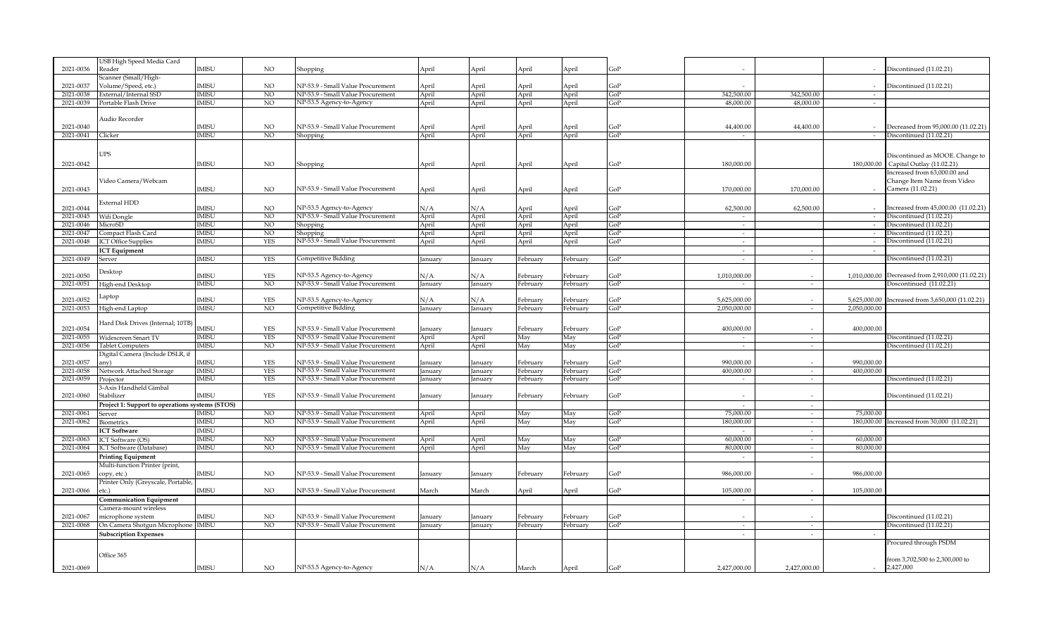|           | USB High Speed Media Card                       |              |                 |                                   |         |         |          |          |            |              |                          |              |                                             |
|-----------|-------------------------------------------------|--------------|-----------------|-----------------------------------|---------|---------|----------|----------|------------|--------------|--------------------------|--------------|---------------------------------------------|
| 2021-0036 | Reader                                          | <b>IMISU</b> | NO.             | Shopping                          | April   | April   | April    | April    | GoP        |              |                          |              | Discontinued (11.02.21)                     |
|           | Scanner (Small/High-                            |              |                 |                                   |         |         |          |          |            |              |                          |              |                                             |
| 2021-0037 | Volume/Speed, etc.)                             | <b>IMISU</b> | NO.             | NP-53.9 - Small Value Procurement | April   | April   | April    | April    | GoP        |              |                          |              | Discontinued (11.02.21)                     |
| 2021-0038 | External/Internal SSD                           | <b>IMISU</b> | N <sub>O</sub>  | NP-53.9 - Small Value Procurement | April   | April   | April    | April    | GoP        | 342,500.00   | 342,500.00               | $\sim$       |                                             |
| 2021-0039 | Portable Flash Drive                            | <b>IMISU</b> | N <sub>O</sub>  | NP-53.5 Agency-to-Agency          | April   | April   | April    | April    | GoP        | 48,000.00    | 48,000.00                | $\sim$       |                                             |
|           |                                                 |              |                 |                                   |         |         |          |          |            |              |                          |              |                                             |
|           | Audio Recorder                                  |              |                 |                                   |         |         |          |          |            |              |                          |              |                                             |
| 2021-0040 |                                                 | <b>IMISU</b> | NO.             | NP-53.9 - Small Value Procurement | April   | April   | April    | April    | GoP        | 44,400.00    | 44,400.00                |              | Decreased from 95,000.00 (11.02.21)         |
| 2021-0041 | Clicker                                         | IMISU        | N <sub>O</sub>  | Shopping                          | April   | April   | April    | April    | GoP        | $\sim$       |                          | $\sim$       | Discontinued (11.02.21)                     |
|           |                                                 |              |                 |                                   |         |         |          |          |            |              |                          |              |                                             |
|           | UPS                                             |              |                 |                                   |         |         |          |          |            |              |                          |              |                                             |
|           |                                                 |              |                 |                                   |         |         |          |          |            |              |                          |              | Discontinued as MOOE. Change to             |
| 2021-0042 |                                                 | <b>IMISU</b> | $_{\rm NO}$     | Shopping                          | April   | April   | April    | April    | GoP        | 180,000,00   |                          |              | 180,000,00 Capital Outlay (11.02.21)        |
|           |                                                 |              |                 |                                   |         |         |          |          |            |              |                          |              | Increased from 63,000.00 and                |
|           | Video Camera/Webcam                             |              |                 |                                   |         |         |          |          |            |              |                          |              | Change Item Name from Video                 |
| 2021-0043 |                                                 | <b>IMISU</b> | NO.             | NP-53.9 - Small Value Procurement | April   | April   | April    | April    | GoP        | 170,000.00   | 170,000.00               |              | Camera (11.02.21)                           |
|           | External HDD                                    |              |                 |                                   |         |         |          |          |            |              |                          |              |                                             |
| 2021-0044 |                                                 | <b>IMISU</b> | $_{\rm NO}$     | NP-53.5 Agency-to-Agency          | N/A     | N/A     | April    | April    | GoP        | 62,500.00    | 62,500.00                |              | Increased from 45,000.00 (11.02.21)         |
| 2021-0045 | Wifi Dongle                                     | <b>IMISU</b> | N <sub>O</sub>  | NP-53.9 - Small Value Procurement | April   | April   | April    | April    | GoP        | $\sim$       |                          | $\sim$       | Discontinued (11.02.21)                     |
| 2021-0046 | MicroSD                                         | IMISU        | N <sub>O</sub>  | Shopping                          | April   | April   | April    | April    | GoP        | $\sim$       |                          | $\sim$       | Discontinued (11.02.21)                     |
| 2021-0047 | Compact Flash Card                              | <b>IMISU</b> | NO.             | Shopping                          | April   | April   | April    | April    | GoP        | $\sim$       |                          |              | Discontinued (11.02.21)                     |
| 2021-0048 | <b>ICT Office Supplies</b>                      | <b>IMISU</b> | <b>YES</b>      | NP-53.9 - Small Value Procurement | April   | April   | April    | April    | GoP        | $\sim$       |                          |              | Discontinued (11.02.21)                     |
|           | <b>ICT</b> Equipment                            |              |                 |                                   |         |         |          |          |            | $\sim$       | $\sim$                   | $\sim$       |                                             |
| 2021-0049 | Server                                          | <b>IMISU</b> | <b>YES</b>      | Competitive Bidding               | anuary  | January | February | February | GoP        | $\sim$       | $\sim$                   |              | Discontinued (11.02.21)                     |
|           |                                                 |              |                 |                                   |         |         |          |          |            |              |                          |              |                                             |
| 2021-0050 | <b>Desktop</b>                                  | <b>IMISU</b> | <b>YES</b>      | NP-53.5 Agency-to-Agency          | N/A     | N/A     | Februarv | February | GoP        | 1,010,000.00 |                          | 1,010,000.00 | Decreased from 2,910,000 (11.02.21)         |
| 2021-0051 | High-end Desktop                                | <b>IMISU</b> | NO.             | NP-53.9 - Small Value Procurement | January | January | February | February | GoP        |              | $\sim$                   |              | Doscontinued (11.02.21)                     |
|           |                                                 |              |                 |                                   |         |         |          |          |            |              |                          |              |                                             |
| 2021-0052 | aptop                                           | <b>IMISU</b> | <b>YES</b>      | NP-53.5 Agency-to-Agency          | N/A     | N/A     | February | February | GoP        | 5,625,000.00 | $\sim$                   | 5,625,000.00 | Increased from 3,650,000 (11.02.21)         |
| 2021-0053 | High-end Laptop                                 | <b>IMISU</b> | NO <sub>1</sub> | Competitive Bidding               | January | January | February | February | GoP        | 2,050,000.00 | $\sim$                   | 2,050,000.00 |                                             |
|           |                                                 |              |                 |                                   |         |         |          |          |            |              |                          |              |                                             |
|           | Hard Disk Drives (Internal; 10TB)               |              |                 |                                   |         |         |          |          |            |              |                          |              |                                             |
| 2021-0054 |                                                 | <b>IMISU</b> | YES             | NP-53.9 - Small Value Procurement | anuary  | January | February | February | GoP        | 400,000.00   |                          | 400,000.00   |                                             |
| 2021-0055 | Widescreen Smart TV                             | <b>IMISU</b> | <b>YES</b>      | NP-53.9 - Small Value Procurement | April   | April   | May      | May      | GoP        | $\sim$       | $\sim$                   |              | Discontinued (11.02.21)                     |
| 2021-0056 | <b>Tablet Computers</b>                         | <b>IMISU</b> | N <sub>O</sub>  | NP-53.9 - Small Value Procurement | April   | April   | May      | May      | GoP        | $\sim$       | $\sim$                   |              | Discontinued (11.02.21)                     |
|           | Digital Camera (Include DSLR, if                |              |                 |                                   |         |         |          |          |            |              |                          |              |                                             |
| 2021-0057 | any).                                           | <b>IMISU</b> | <b>YES</b>      | NP-53.9 - Small Value Procurement | anuary  | January | February | February | GoP        | 990.000.00   |                          | 990.000.00   |                                             |
| 2021-0058 | Network Attached Storage                        | <b>IMISU</b> | <b>YES</b>      | NP-53.9 - Small Value Procurement | January | January | February | February | <b>GoP</b> | 400,000,00   | $\sim$                   | 400,000.00   |                                             |
| 2021-0059 | rojector                                        | <b>IMISU</b> | <b>YES</b>      | NP-53.9 - Small Value Procurement | anuary  | January | February | February | GoP        | $\sim$       | $\sim$                   |              | Discontinued (11.02.21)                     |
|           | 3-Axis Handheld Gimbal                          |              |                 |                                   |         |         |          |          |            |              |                          |              |                                             |
| 2021-0060 | Stabilizer                                      | <b>IMISU</b> | <b>YES</b>      | NP-53.9 - Small Value Procurement | January | January | February | February | GoP        |              |                          |              | Discontinued (11.02.21)                     |
|           | Project 1: Support to operations systems (STOS) |              |                 |                                   |         |         |          |          |            | $\sim$       | $\sim$                   |              |                                             |
| 2021-0061 | Server                                          | <b>IMISU</b> | N <sub>O</sub>  | NP-53.9 - Small Value Procurement | April   | April   | May      | May      | GoP        | 75,000.00    | $\overline{a}$           | 75,000.00    |                                             |
| 2021-0062 | <b>Biometrics</b>                               | <b>IMISU</b> | NO.             | NP-53.9 - Small Value Procurement | April   | April   | May      | May      | GoP        | 180,000.00   | $\sim$                   |              | 180,000,00 Increased from 30,000 (11.02.21) |
|           | <b>ICT Software</b>                             | <b>IMISU</b> |                 |                                   |         |         |          |          |            |              | $\sim$                   |              |                                             |
| 2021-0063 | <b>ICT</b> Software (OS)                        | <b>IMISU</b> | N <sub>O</sub>  | NP-53.9 - Small Value Procurement | April   | April   | May      | May      | GoP        | 60,000.00    | $\sim$                   | 60,000.00    |                                             |
| 2021-0064 | ICT Software (Database)                         | <b>IMISU</b> | NO.             | NP-53.9 - Small Value Procurement | April   | April   | May      | May      | GoP        | 80,000.00    | $\sim$                   | 80,000.00    |                                             |
|           | Printing Equipment                              |              |                 |                                   |         |         |          |          |            | $\sim$       | $\overline{\phantom{a}}$ |              |                                             |
|           | Multi-function Printer (print,                  |              |                 |                                   |         |         |          |          |            |              |                          |              |                                             |
| 2021-0065 | copy, etc.)                                     | <b>IMISU</b> | <b>NO</b>       | NP-53.9 - Small Value Procurement | January | January | February | February | GoP        | 986,000.00   |                          | 986,000.00   |                                             |
|           | Printer Only (Greyscale, Portable               |              |                 |                                   |         |         |          |          |            |              |                          |              |                                             |
| 2021-0066 | etc.)                                           | IMISU        | NO.             | NP-53.9 - Small Value Procurement | March   | March   | April    | April    | GoP        | 105,000.00   |                          | 105,000.00   |                                             |
|           | <b>Communication Equipment</b>                  |              |                 |                                   |         |         |          |          |            |              | $\sim$                   |              |                                             |
|           | Camera-mount wireless                           |              |                 |                                   |         |         |          |          |            |              |                          |              |                                             |
| 2021-0067 | microphone system                               | <b>IMISU</b> | <b>NO</b>       | NP-53.9 - Small Value Procurement |         |         | February | February | GoP        |              |                          |              | Discontinued (11.02.21)                     |
|           |                                                 |              | NO.             | NP-53.9 - Small Value Procurement | January | January |          |          |            |              |                          |              |                                             |
| 2021-0068 | On Camera Shotgun Microphone IMISU              |              |                 |                                   | anuary  | January | February | February | GoP        | $\sim$       | $\sim$                   |              | Discontinued (11.02.21)                     |
|           | <b>Subscription Expenses</b>                    |              |                 |                                   |         |         |          |          |            | $\sim$       | $\sim$                   |              |                                             |
|           |                                                 |              |                 |                                   |         |         |          |          |            |              |                          |              | Procured through PSDM                       |
|           | Office 365                                      |              |                 |                                   |         |         |          |          |            |              |                          |              |                                             |
|           |                                                 |              |                 |                                   |         |         |          |          |            |              |                          |              | from 3,702,500 to 2,300,000 to              |
| 2021-0069 |                                                 | <b>IMISU</b> | NO.             | NP-53.5 Agency-to-Agency          | N/A     | N/A     | March    | April    | GoP        | 2,427,000.00 | 2,427,000.00             | $\sim$       | 2,427,000                                   |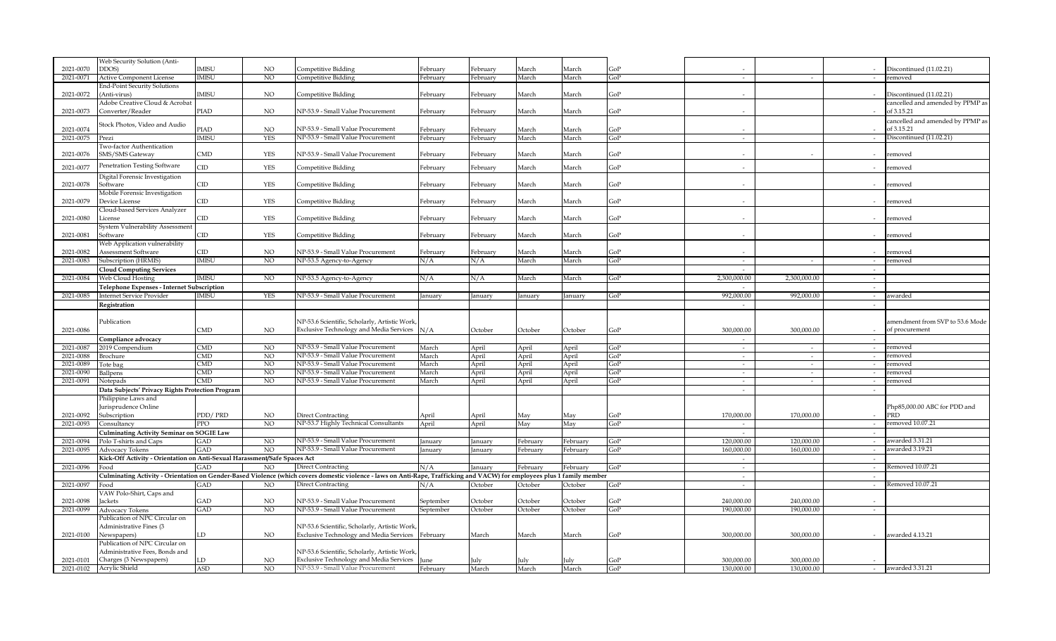|           | Web Security Solution (Anti-                                              |                         |                |                                                                                                                                                                           |                  |               |               |               |            |                          |                          |        |                                  |
|-----------|---------------------------------------------------------------------------|-------------------------|----------------|---------------------------------------------------------------------------------------------------------------------------------------------------------------------------|------------------|---------------|---------------|---------------|------------|--------------------------|--------------------------|--------|----------------------------------|
| 2021-0070 | DDOS)                                                                     | <b>IMISU</b>            | NO.            | Competitive Bidding                                                                                                                                                       | February         | February      | March         | March         | GoP        |                          |                          |        | Discontinued (11.02.21)          |
| 2021-0071 | <b>Active Component License</b>                                           | <b>IMISU</b>            | N <sub>O</sub> | Competitive Bidding                                                                                                                                                       | February         | February      | March         | March         | GoP        | $\sim$                   | $\sim$                   |        | removed                          |
|           | End-Point Security Solutions                                              |                         |                |                                                                                                                                                                           |                  |               |               |               |            |                          |                          |        |                                  |
| 2021-0072 | (Anti-virus)                                                              | IMISU                   | NO             | Competitive Bidding                                                                                                                                                       | February         | February      | March         | March         | GoP        | $\sim$                   |                          |        | Discontinued (11.02.21)          |
|           | Adobe Creative Cloud & Acrobat                                            |                         |                |                                                                                                                                                                           |                  |               |               |               |            |                          |                          |        | cancelled and amended by PPMP as |
| 2021-0073 | Converter/Reader                                                          | PIAD                    | NO.            | NP-53.9 - Small Value Procurement                                                                                                                                         | February         | February      | March         | March         | GoP        |                          |                          |        | of 3.15.21                       |
|           |                                                                           |                         |                |                                                                                                                                                                           |                  |               |               |               |            |                          |                          |        | cancelled and amended by PPMP as |
| 2021-0074 | Stock Photos, Video and Audio                                             | PIAD                    | NO.            | NP-53.9 - Small Value Procurement                                                                                                                                         | February         | February      | March         | March         | GoP        |                          |                          |        | of 3.15.21                       |
| 2021-0075 | Prezi                                                                     | IMISU                   | <b>YES</b>     | NP-53.9 - Small Value Procurement                                                                                                                                         | February         | February      | March         | March         | GoP        | $\overline{\phantom{a}}$ |                          |        | Discontinued (11.02.21)          |
|           | <b>Two-factor Authentication</b>                                          |                         |                |                                                                                                                                                                           |                  |               |               |               |            |                          |                          |        |                                  |
| 2021-0076 | SMS/SMS Gateway                                                           | CMD                     | <b>YES</b>     | NP-53.9 - Small Value Procurement                                                                                                                                         | February         | February      | March         | March         | GoP        | $\sim$                   |                          |        | removed                          |
|           |                                                                           |                         |                |                                                                                                                                                                           |                  |               |               |               |            |                          |                          |        |                                  |
| 2021-0077 | Penetration Testing Software                                              | CD                      | YES            | Competitive Bidding                                                                                                                                                       | February         | February      | March         | March         | GoP        |                          |                          |        | removed                          |
|           | Digital Forensic Investigation                                            |                         |                |                                                                                                                                                                           |                  |               |               |               |            |                          |                          |        |                                  |
| 2021-0078 | Software                                                                  | CID                     | YES            | Competitive Bidding                                                                                                                                                       | February         | February      | March         | March         | GoP        |                          |                          |        | removed                          |
|           | Mobile Forensic Investigation                                             |                         |                |                                                                                                                                                                           |                  |               |               |               |            |                          |                          |        |                                  |
| 2021-0079 | Device License                                                            | $\Box$                  | <b>YES</b>     | Competitive Bidding                                                                                                                                                       | February         | February      | March         | March         | GoP        |                          |                          |        | removed                          |
|           | Cloud-based Services Analyzer                                             |                         |                |                                                                                                                                                                           |                  |               |               |               |            |                          |                          |        |                                  |
| 2021-0080 | License                                                                   | CID                     | <b>YES</b>     | Competitive Bidding                                                                                                                                                       | February         | February      | March         | March         | GoP        |                          |                          |        | removed                          |
|           | System Vulnerability Assessment                                           |                         |                |                                                                                                                                                                           |                  |               |               |               |            |                          |                          |        |                                  |
| 2021-0081 | Software                                                                  | CID                     | <b>YES</b>     | Competitive Bidding                                                                                                                                                       | February         | February      | March         | March         | GoP        |                          |                          |        | removed                          |
|           | <b>Neb Application vulnerability</b>                                      |                         |                |                                                                                                                                                                           |                  |               |               |               |            |                          |                          |        |                                  |
| 2021-0082 | Assessment Software                                                       | CID                     | NO.            | NP-53.9 - Small Value Procurement                                                                                                                                         | February         | February      | March         | March         | GoP        |                          |                          |        | removed                          |
| 2021-0083 | Subscription (HRMIS)                                                      | <b>IMISU</b>            | N <sub>O</sub> | NP-53.5 Agency-to-Agency                                                                                                                                                  | N/A              | N/A           | March         | March         | GoP        | $\sim$                   | $\sim$                   | $\sim$ | removed                          |
|           | <b>Cloud Computing Services</b>                                           |                         |                |                                                                                                                                                                           |                  |               |               |               |            | $\sim$                   |                          | $\sim$ |                                  |
| 2021-0084 | Web Cloud Hosting                                                         | <b>IMISU</b>            | NO.            | NP-53.5 Agency-to-Agency                                                                                                                                                  | N/A              | N/A           | March         | March         | GoP        | 2.300.000.00             | 2,300,000.00             | $\sim$ |                                  |
|           | Telephone Expenses - Internet Subscription                                |                         |                |                                                                                                                                                                           |                  |               |               |               |            |                          |                          | $\sim$ |                                  |
| 2021-0085 | <b>Internet Service Provider</b>                                          | <b>IMISU</b>            | YES            | NP-53.9 - Small Value Procurement                                                                                                                                         | January          | January       | January       | January       | GoP        | 992,000.00               | 992,000.00               | $\sim$ | awarded                          |
|           | Registration                                                              |                         |                |                                                                                                                                                                           |                  |               |               |               |            | $\sim$                   |                          | $\sim$ |                                  |
|           |                                                                           |                         |                |                                                                                                                                                                           |                  |               |               |               |            |                          |                          |        |                                  |
|           | Publication                                                               |                         |                | NP-53.6 Scientific, Scholarly, Artistic Work                                                                                                                              |                  |               |               |               |            |                          |                          |        | amendment from SVP to 53.6 Mode  |
| 2021-0086 |                                                                           | CMD                     | NO.            | Exclusive Technology and Media Services N/A                                                                                                                               |                  | October       | October       | October       | GoP        | 300,000,00               | 300.000.00               |        |                                  |
|           |                                                                           |                         |                |                                                                                                                                                                           |                  |               |               |               |            |                          |                          |        |                                  |
|           |                                                                           |                         |                |                                                                                                                                                                           |                  |               |               |               |            |                          |                          |        | of procurement                   |
|           | Compliance advocacy                                                       |                         |                |                                                                                                                                                                           |                  |               |               |               |            | $\sim$                   |                          | $\sim$ |                                  |
| 2021-0087 | 2019 Compendium                                                           | <b>CMD</b>              | N <sub>O</sub> | NP-53.9 - Small Value Procurement                                                                                                                                         | March            | April         | April         | April         | GoP        | $\sim$                   | $\sim$                   | $\sim$ | removed                          |
| 2021-0088 | Brochure                                                                  | $\overline{\text{CMD}}$ | NO             | NP-53.9 - Small Value Procurement                                                                                                                                         | March            | April         | April         | April         | GoP        | $\sim$                   | $\sim$                   | $\sim$ | removed                          |
| 2021-0089 | Tote bag                                                                  | $\overline{\text{CMD}}$ | N <sub>O</sub> | NP-53.9 - Small Value Procurement                                                                                                                                         | March            | April         | April         | April         | GoP        | $\sim$                   | $\sim$                   | $\sim$ | removed                          |
| 2021-0090 | Ballpens                                                                  | $\overline{\text{CMD}}$ | N <sub>O</sub> | NP-53.9 - Small Value Procurement                                                                                                                                         | March            | April         | April         | April         | GoP        | $\sim$                   | $\sim$                   | $\sim$ | removed                          |
| 2021-0091 | Notepads                                                                  | CMD                     | N <sub>O</sub> | NP-53.9 - Small Value Procurement                                                                                                                                         | March            | April         | April         | April         | GoP        | $\sim$                   | $\sim$                   | $\sim$ | removed                          |
|           | Data Subjects' Privacy Rights Protection Program                          |                         |                |                                                                                                                                                                           |                  |               |               |               |            | $\sim$                   |                          |        |                                  |
|           | Philippine Laws and                                                       |                         |                |                                                                                                                                                                           |                  |               |               |               |            |                          |                          |        |                                  |
|           | Jurisprudence Online                                                      |                         |                |                                                                                                                                                                           |                  |               |               |               |            |                          |                          |        | Php85,000.00 ABC for PDD and     |
| 2021-0092 | Subscription                                                              | PDD/PRD                 | NO             | Direct Contracting                                                                                                                                                        | April            | April         | May           | May           | GoP        | 170,000.00               | 170,000,00               |        | PRD                              |
| 2021-0093 | Consultancy                                                               | PPO                     | NO             | NP-53.7 Highly Technical Consultants                                                                                                                                      | April            | April         | May           | May           | GoP        |                          |                          | $\sim$ | removed 10.07.21                 |
|           | Culminating Activity Seminar on SOGIE Law                                 |                         |                |                                                                                                                                                                           |                  |               |               |               |            | $\sim$                   |                          | $\sim$ |                                  |
| 2021-0094 | Polo T-shirts and Caps                                                    | GAD                     | N <sub>O</sub> | NP-53.9 - Small Value Procurement                                                                                                                                         | January          | January       | February      | February      | GoP        | 120,000.00               | 120,000.00               | $\sim$ | awarded 3.31.21                  |
| 2021-0095 | Advocacy Tokens                                                           | GAD                     | NO             | NP-53.9 - Small Value Procurement                                                                                                                                         | January          | January       | February      | February      | GoP        | 160,000.00               | 160,000,00               | $\sim$ | awarded 3.19.21                  |
|           | Kick-Off Activity - Orientation on Anti-Sexual Harassment/Safe Spaces Act |                         |                |                                                                                                                                                                           |                  |               |               |               |            |                          |                          |        |                                  |
| 2021-0096 | Food                                                                      | <b>GAD</b>              | NO.            | Direct Contracting                                                                                                                                                        | N/A              | January       | February      | February      | GoP        | $\sim$                   |                          | $\sim$ | Removed 10.07.21                 |
|           |                                                                           |                         |                | Culminating Activity - Orientation on Gender-Based Violence (which covers domestic violence - laws on Anti-Rape, Trafficking and VACW) for employees plus 1 family member |                  |               |               |               |            | $\sim$                   |                          |        |                                  |
| 2021-0097 | Food                                                                      | GAD                     | NO.            | Direct Contracting                                                                                                                                                        | N/A              | October       | October       | October       | GoP        | $\overline{a}$           |                          | $\sim$ | Removed 10.07.21                 |
|           | VAW Polo-Shirt, Caps and                                                  |                         |                |                                                                                                                                                                           |                  |               |               |               |            |                          |                          |        |                                  |
| 2021-0098 | Jackets                                                                   | GAD                     | NO             | NP-53.9 - Small Value Procurement                                                                                                                                         | September        | October       | October       | October       | GoP        | 240,000,00               | 240.000.00               |        |                                  |
| 2021-0099 | Advocacy Tokens                                                           | GAD                     | NO             | NP-53.9 - Small Value Procurement                                                                                                                                         | September        | October       | October       | October       | GoP        | 190,000,00               | 190,000.00               | $\sim$ |                                  |
|           | Publication of NPC Circular on                                            |                         |                |                                                                                                                                                                           |                  |               |               |               |            |                          |                          |        |                                  |
|           | Administrative Fines (3                                                   |                         |                | NP-53.6 Scientific, Scholarly, Artistic Work                                                                                                                              |                  |               |               |               |            |                          |                          |        |                                  |
| 2021-0100 | Newspapers)                                                               | LD                      | NO             | Exclusive Technology and Media Services February                                                                                                                          |                  | March         | March         | March         | GoP        | 300,000.00               | 300,000.00               |        | awarded 4.13.21                  |
|           | Publication of NPC Circular on                                            |                         |                |                                                                                                                                                                           |                  |               |               |               |            |                          |                          |        |                                  |
|           | Administrative Fees, Bonds and                                            |                         |                | NP-53.6 Scientific, Scholarly, Artistic Work                                                                                                                              |                  |               |               |               |            |                          |                          |        |                                  |
| 2021-0101 | Charges (3 Newspapers)<br>2021-0102 Acrylic Shield                        | D<br><b>ASD</b>         | NO<br>NO       | <b>Exclusive Technology and Media Services</b><br>NP-53.9 - Small Value Procurement                                                                                       | June<br>February | July<br>March | July<br>March | July<br>March | GoP<br>GoP | 300,000,00<br>130,000.00 | 300.000.00<br>130,000.00 | $\sim$ | awarded 3.31.21                  |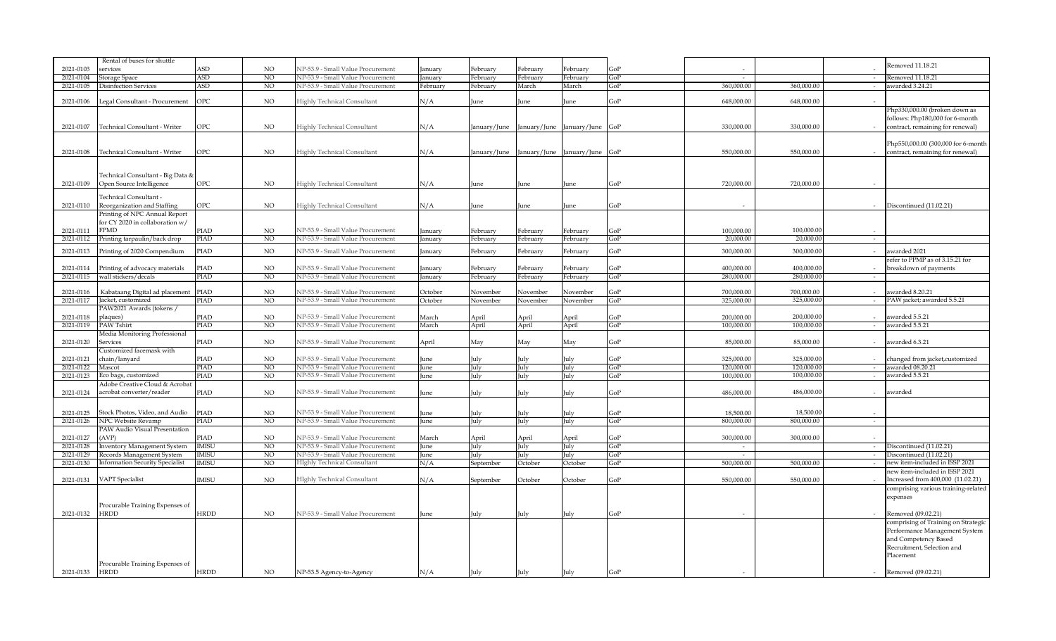|           | Rental of buses for shuttle            |             |                |                                    |          |              |              |                  |        |                          |                          |                  | Removed 11.18.21                    |
|-----------|----------------------------------------|-------------|----------------|------------------------------------|----------|--------------|--------------|------------------|--------|--------------------------|--------------------------|------------------|-------------------------------------|
| 2021-0103 | ervices                                | ASD         | <b>NO</b>      | NP-53.9 - Small Value Procurement  | January  | February     | February     | February         | GoP    |                          |                          |                  |                                     |
| 2021-0104 | Storage Space                          | ASD         | N <sub>O</sub> | NP-53.9 - Small Value Procurement  | January  | February     | ebruary      | February         | GoP    | $\sim$                   |                          | $\sim$           | Removed 11.18.21                    |
| 2021-0105 | Disinfection Services                  | ASD         | NO             | NP-53.9 - Small Value Procurement  | February | February     | March        | March            | GoP    | 360,000.00               | 360,000.00               | $\sim$           | awarded 3.24.21                     |
|           |                                        |             |                |                                    |          |              |              |                  |        |                          |                          |                  |                                     |
| 2021-0106 | Legal Consultant - Procurement         | OPC         | $_{\rm NO}$    | Highly Technical Consultant        | N/A      | June         | June         | June             | GoP    | 648,000.00               | 648,000.00               |                  |                                     |
|           |                                        |             |                |                                    |          |              |              |                  |        |                          |                          |                  | Php330,000.00 (broken down as       |
|           |                                        |             |                |                                    |          |              |              |                  |        |                          |                          |                  | follows: Php180,000 for 6-month     |
| 2021-0107 | <b>Technical Consultant - Writer</b>   | OPC         | <b>NO</b>      | Highly Technical Consultant        | N/A      | January/June | January/June | January/June     | GoP    | 330,000.00               | 330,000.00               |                  | contract, remaining for renewal)    |
|           |                                        |             |                |                                    |          |              |              |                  |        |                          |                          |                  |                                     |
|           |                                        |             |                |                                    |          |              |              |                  |        |                          |                          |                  | Php550,000.00 (300,000 for 6-month  |
| 2021-0108 | Technical Consultant - Writer          | OPC         | NO.            | Highly Technical Consultant        | N/A      | January/June | January/June | January/June GoP |        | 550,000.00               | 550,000.00               |                  | contract, remaining for renewal)    |
|           |                                        |             |                |                                    |          |              |              |                  |        |                          |                          |                  |                                     |
|           |                                        |             |                |                                    |          |              |              |                  |        |                          |                          |                  |                                     |
|           | Fechnical Consultant - Big Data &      |             |                |                                    |          |              |              |                  |        |                          |                          |                  |                                     |
| 2021-0109 | Open Source Intelligence               | OPC         | <b>NO</b>      | Highly Technical Consultant        | N/A      | June         | June         | June             | GoP    | 720,000.00               | 720,000.00               |                  |                                     |
|           |                                        |             |                |                                    |          |              |              |                  |        |                          |                          |                  |                                     |
|           | Fechnical Consultant -                 |             |                |                                    |          |              |              |                  |        |                          |                          |                  |                                     |
| 2021-0110 | Reorganization and Staffing            | OPC         | NO.            | Highly Technical Consultant        | N/A      | June         | June         | June             | GoP    |                          |                          |                  | Discontinued (11.02.21)             |
|           | Printing of NPC Annual Report          |             |                |                                    |          |              |              |                  |        |                          |                          |                  |                                     |
|           | for CY 2020 in collaboration w/        |             |                |                                    |          |              |              |                  |        |                          |                          |                  |                                     |
| 2021-0111 | <b>FPMD</b>                            | PIAD        | NO             | NP-53.9 - Small Value Procurement  | January  | February     | ebruary      | February         | GoP    | 100,000,00               | 100,000,00               |                  |                                     |
| 2021-0112 | Printing tarpaulin/back drop           | PIAD        | N <sub>O</sub> | NP-53.9 - Small Value Procurement  | anuary   | February     | ebruary      | February         | GoP    | 20,000.00                | 20,000.00                | $\sim$           |                                     |
|           |                                        |             |                |                                    |          |              |              |                  |        |                          |                          |                  |                                     |
| 2021-0113 | Printing of 2020 Compendium            | PIAD        | <b>NO</b>      | NP-53.9 - Small Value Procurement  | January  | February     | ebruary      | February         | GoP    | 300,000.00               | 300,000.00               |                  | awarded 2021                        |
|           |                                        |             |                |                                    |          |              |              |                  |        |                          |                          |                  | refer to PPMP as of 3.15.21 for     |
| 2021-0114 | Printing of advocacy materials         | PIAD        | NO             | NP-53.9 - Small Value Procurement  | January  | February     | ebruary      | February         | GoP    | 400,000.00               | 400,000.00               |                  | breakdown of payments               |
| 2021-0115 | wall stickers/decals                   | PIAD        | <sub>NO</sub>  | NP-53.9 - Small Value Procurement  | January  | February     | ebruary      | February         | GoP    | 280,000.00               | 280,000.00               | $\sim$           |                                     |
|           |                                        |             | <b>NO</b>      | NP-53.9 - Small Value Procurement  |          |              |              |                  |        |                          |                          |                  | awarded 8.20.21                     |
| 2021-0116 | Kabataang Digital ad placement         | PIAD        | N <sub>O</sub> |                                    | October  | November     | November     | November         | $G_0P$ | 700.000.00<br>325,000.00 | 700.000.00<br>325,000.00 | $\sim$           |                                     |
| 2021-0117 | Jacket, customized                     | PIAD        |                | NP-53.9 - Small Value Procurement  | October  | November     | November     | November         | GoP    |                          |                          |                  | PAW jacket; awarded 5.5.21          |
|           | PAW2021 Awards (tokens /               |             |                |                                    |          |              |              |                  |        |                          |                          |                  |                                     |
| 2021-0118 | plaques)                               | PIAD        | NO             | NP-53.9 - Small Value Procurement  | March    | April        | April        | April            | GoP    | 200,000.00               | 200,000.00               | $\sim$           | awarded 5.5.21                      |
| 2021-0119 | PAW Tshirt                             | PIAD        | N <sub>O</sub> | NP-53.9 - Small Value Procurement  | March    | April        | April        | April            | GoP    | 100,000,00               | 100,000.00               | $\overline{a}$   | awarded 5.5.21                      |
|           | Media Monitoring Professional          |             |                |                                    |          |              |              |                  |        |                          |                          |                  |                                     |
| 2021-0120 | Services                               | PIAD        | <b>NO</b>      | NP-53.9 - Small Value Procurement  | April    | May          | May          | May              | GoP    | 85,000.00                | 85,000.00                |                  | awarded 6.3.21                      |
|           | Customized facemask with               |             |                |                                    |          |              |              |                  |        |                          |                          |                  |                                     |
| 2021-0121 | chain/lanyard                          | PIAD        | <b>NO</b>      | NP-53.9 - Small Value Procurement  | June     | July         | July         | July             | GoP    | 325,000.00               | 325,000.00               |                  | changed from jacket, customized     |
| 2021-0122 | Mascot                                 | PIAD        | N <sub>O</sub> | NP-53.9 - Small Value Procurement  | June     | July         | July         | July             | GoP    | 120,000.00               | 120,000.00               |                  | awarded 08.20.21                    |
| 2021-0123 | Eco bags, customized                   | PIAD        | N <sub>O</sub> | NP-53.9 - Small Value Procurement  | June     | July         | July         | July             | GoP    | 100,000.00               | 100,000.00               | $\sim$           | awarded 5.5.21                      |
|           | Adobe Creative Cloud & Acrobat         |             |                |                                    |          |              |              |                  |        |                          |                          |                  |                                     |
| 2021-0124 | acrobat converter/reader               | PIAD        | NO.            | NP-53.9 - Small Value Procurement  | June     | July         | July         | July             | GoP    | 486,000.00               | 486,000.00               |                  | awarded                             |
|           |                                        |             |                |                                    |          |              |              |                  |        |                          |                          |                  |                                     |
| 2021-0125 | Stock Photos, Video, and Audio         | PIAD        | NO.            | NP-53.9 - Small Value Procurement  | une)     | July         | July         | July             | GoP    | 18,500.00                | 18,500.00                |                  |                                     |
| 2021-0126 | NPC Website Revamp                     | PIAD        | N <sub>O</sub> | NP-53.9 - Small Value Procurement  | June     | July         | July         | July             | GoP    | 800,000.00               | 800,000.00               | $\sim$           |                                     |
|           | PAW Audio Visual Presentation          |             |                |                                    |          |              |              |                  |        |                          |                          |                  |                                     |
| 2021-0127 | (AVP)                                  | PIAD        | NO.            | NP-53.9 - Small Value Procurement  | March    | April        | April        | April            | GoP    | 300,000,00               | 300,000,00               |                  |                                     |
| 2021-0128 | <b>Inventory Management System</b>     | MISU        | NO             | NP-53.9 - Small Value Procurement  | June     | July         | July         | July             | GoP    | $\sim$                   |                          | $\sim$           | Discontinued (11.02.21)             |
| 2021-0129 | Records Management System              | MISU        | N <sub>O</sub> | NP-53.9 - Small Value Procurement  | une)     | July         | July         | July             | GoP    |                          |                          |                  | Discontinued (11.02.21)             |
| 2021-0130 | <b>Information Security Specialist</b> | MISU        | N <sub>O</sub> | <b>HIghly Technical Consultant</b> | N/A      | September    | October      | October          | GoP    | 500,000.00               | 500,000.00               | $\sim$<br>$\sim$ | new item-included in ISSP 2021      |
|           |                                        |             |                |                                    |          |              |              |                  |        |                          |                          |                  |                                     |
|           |                                        |             |                |                                    |          |              |              |                  |        |                          |                          |                  | new item-included in ISSP 2021      |
| 2021-0131 | <b>VAPT</b> Specialist                 | MISU        | NO.            | <b>HIghly Technical Consultant</b> | N/A      | September    | October      | October          | GoP    | 550,000.00               | 550,000,00               |                  | Increased from 400,000 (11.02.21)   |
|           |                                        |             |                |                                    |          |              |              |                  |        |                          |                          |                  | comprising various training-related |
|           |                                        |             |                |                                    |          |              |              |                  |        |                          |                          |                  | expenses                            |
|           | Procurable Training Expenses of        |             |                |                                    |          |              |              |                  |        |                          |                          |                  |                                     |
| 2021-0132 | <b>HRDD</b>                            | <b>HRDD</b> | <b>NO</b>      | NP-53.9 - Small Value Procurement  | June     | July         | July         | July             | GoP    |                          |                          |                  | Removed (09.02.21)                  |
|           |                                        |             |                |                                    |          |              |              |                  |        |                          |                          |                  | comprising of Training on Strategic |
|           |                                        |             |                |                                    |          |              |              |                  |        |                          |                          |                  | Performance Management System       |
|           |                                        |             |                |                                    |          |              |              |                  |        |                          |                          |                  | and Competency Based                |
|           |                                        |             |                |                                    |          |              |              |                  |        |                          |                          |                  | Recruitment, Selection and          |
|           |                                        |             |                |                                    |          |              |              |                  |        |                          |                          |                  | Placement                           |
|           | Procurable Training Expenses of        |             |                |                                    |          |              |              |                  |        |                          |                          |                  |                                     |
| 2021-0133 | <b>HRDD</b>                            | <b>HRDD</b> | NO.            | NP-53.5 Agency-to-Agency           | N/A      | July         | July         | July             | GoP    |                          |                          |                  | Removed (09.02.21)                  |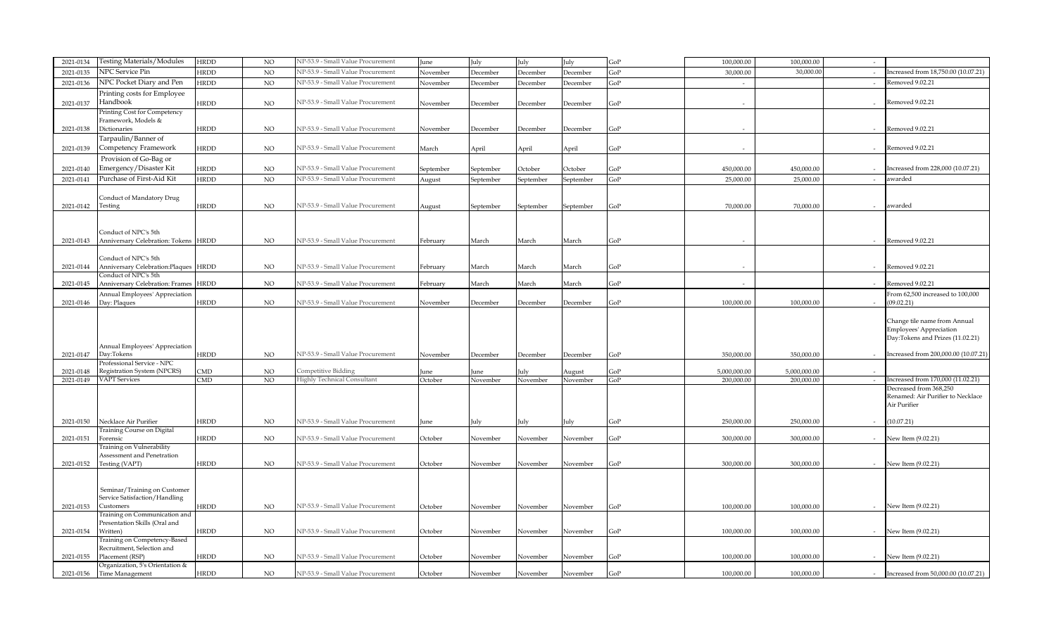| 2021-0134 | Testing Materials/Modules                                      | <b>HRDD</b>             | NO. | NP-53.9 - Small Value Procurement  | June      | July      | July      | July      | GoP | 100,000.00   | 100,000.00   | $\sim$ |                                                   |
|-----------|----------------------------------------------------------------|-------------------------|-----|------------------------------------|-----------|-----------|-----------|-----------|-----|--------------|--------------|--------|---------------------------------------------------|
| 2021-0135 | NPC Service Pin                                                | <b>IRDD</b>             | NO  | NP-53.9 - Small Value Procurement  | November  | December  | December  | December  | GoP | 30,000.00    | 30,000.0     | $\sim$ | Increased from 18,750.00 (10.07.21)               |
| 2021-0136 | NPC Pocket Diary and Pen                                       | <b>HRDD</b>             | NO  | NP-53.9 - Small Value Procurement  | November  | December  | December  | December  | GoP | $\sim$       |              |        | Removed 9.02.21                                   |
|           | Printing costs for Employee                                    |                         |     |                                    |           |           |           |           |     |              |              |        |                                                   |
| 2021-0137 | Handbook                                                       | <b>IRDD</b>             | NO  | NP-53.9 - Small Value Procurement  | November  | December  | December  | December  | GoP | $\sim$       |              |        | Removed 9.02.21                                   |
|           | Printing Cost for Competency                                   |                         |     |                                    |           |           |           |           |     |              |              |        |                                                   |
|           | Framework, Models &                                            |                         |     |                                    |           |           |           |           |     |              |              |        |                                                   |
| 2021-0138 | Dictionaries                                                   | HRDD                    | NO. | NP-53.9 - Small Value Procurement  | November  | December  | December  | December  | GoP |              |              |        | Removed 9.02.21                                   |
|           | Tarpaulin/Banner of                                            |                         |     |                                    |           |           |           |           |     |              |              |        |                                                   |
| 2021-0139 | Competency Framework                                           | <b>HRDD</b>             | NO. | NP-53.9 - Small Value Procurement  | March     | April     | April     | April     | GoP | $\sim$       |              |        | Removed 9.02.21                                   |
|           | Provision of Go-Bag or                                         |                         |     |                                    |           |           |           |           |     |              |              |        |                                                   |
| 2021-0140 | Emergency/Disaster Kit                                         | <b>IRDD</b>             | NO. | NP-53.9 - Small Value Procurement  |           | September | October   | October   | GoP | 450,000.00   | 450,000.00   |        | Increased from 228,000 (10.07.21)                 |
|           | Purchase of First-Aid Kit                                      |                         |     | NP-53.9 - Small Value Procurement  | September |           |           |           |     |              |              |        |                                                   |
| 2021-0141 |                                                                | <b>IRDD</b>             | NO. |                                    | August    | September | September | September | GoP | 25,000.00    | 25,000.00    | $\sim$ | awarded                                           |
|           |                                                                |                         |     |                                    |           |           |           |           |     |              |              |        |                                                   |
|           | Conduct of Mandatory Drug<br>Testing                           | HRDD                    | NO. | NP-53.9 - Small Value Procurement  |           |           |           |           | GoP | 70,000.00    | 70,000.00    | $\sim$ | awarded                                           |
| 2021-0142 |                                                                |                         |     |                                    | August    | September | September | September |     |              |              |        |                                                   |
|           |                                                                |                         |     |                                    |           |           |           |           |     |              |              |        |                                                   |
|           | Conduct of NPC's 5th                                           |                         |     |                                    |           |           |           |           |     |              |              |        |                                                   |
| 2021-0143 | Anniversary Celebration: Tokens                                | HRDD                    | NO  | NP-53.9 - Small Value Procurement  | February  | March     | March     | March     | GoP |              |              |        | Removed 9.02.21                                   |
|           |                                                                |                         |     |                                    |           |           |           |           |     |              |              |        |                                                   |
|           | Conduct of NPC's 5th                                           |                         |     |                                    |           |           |           |           |     |              |              |        |                                                   |
| 2021-0144 | Anniversary Celebration: Plaques HRDD                          |                         | NO. | NP-53.9 - Small Value Procurement  | February  | March     | March     | March     | GoP |              |              |        | Removed 9.02.21                                   |
|           | Conduct of NPC's 5th                                           |                         |     |                                    |           |           |           |           |     |              |              |        |                                                   |
| 2021-0145 | Anniversary Celebration: Frames                                | <b>HRDD</b>             | NO  | NP-53.9 - Small Value Procurement  | February  | March     | March     | March     | GoP | $\sim$       |              |        | Removed 9.02.21                                   |
|           | Annual Employees' Appreciation                                 |                         |     |                                    |           |           |           |           |     |              |              |        | From 62,500 increased to 100,000                  |
| 2021-0146 | Day: Plaques                                                   | <b>IRDD</b>             | NO. | NP-53.9 - Small Value Procurement  | November  | December  | December  | December  | GoP | 100,000.00   | 100,000.00   |        | (09.02.21)                                        |
|           |                                                                |                         |     |                                    |           |           |           |           |     |              |              |        |                                                   |
|           |                                                                |                         |     |                                    |           |           |           |           |     |              |              |        | Change tile name from Annual                      |
|           |                                                                |                         |     |                                    |           |           |           |           |     |              |              |        | Employees' Appreciation                           |
|           |                                                                |                         |     |                                    |           |           |           |           |     |              |              |        | Day:Tokens and Prizes (11.02.21)                  |
|           | Annual Employees' Appreciation                                 |                         |     |                                    |           |           |           |           |     |              |              |        |                                                   |
| 2021-0147 | Day:Tokens                                                     | <b>HRDD</b>             | NO. | NP-53.9 - Small Value Procurement  | November  | December  | December  | December  | GoP | 350,000.00   | 350,000.00   |        | Increased from 200,000.00 (10.07.21)              |
|           | Professional Service - NPC                                     |                         |     |                                    |           |           |           |           |     |              |              |        |                                                   |
| 2021-0148 | Registration System (NPCRS)                                    | MD.                     | NO. | Competitive Bidding                | Iune      | une       | uk        | August    | GoP | 5.000.000.00 | 5,000,000,00 |        |                                                   |
| 2021-0149 | <b>VAPT</b> Services                                           | $\overline{\text{CMD}}$ | NO  | <b>Highly Technical Consultant</b> | October   | November  | November  | November  | GoP | 200,000.00   | 200,000.00   | $\sim$ | Increased from 170,000 (11.02.21)                 |
|           |                                                                |                         |     |                                    |           |           |           |           |     |              |              |        | Decreased from 368,250                            |
|           |                                                                |                         |     |                                    |           |           |           |           |     |              |              |        | Renamed: Air Purifier to Necklace<br>Air Purifier |
|           |                                                                |                         |     |                                    |           |           |           |           |     |              |              |        |                                                   |
| 2021-0150 | Necklace Air Purifier                                          | <b>HRDD</b>             | NO. | NP-53.9 - Small Value Procurement  | June      | July      | ulv       | July      | GoP | 250,000.00   | 250,000.00   |        | (10.07.21)                                        |
|           | <b>Training Course on Digital</b>                              |                         |     |                                    |           |           |           |           |     |              |              |        |                                                   |
| 2021-0151 | Forensic                                                       | <b>HRDD</b>             | NO. | NP-53.9 - Small Value Procurement  | October   | November  | November  | November  | GoP | 300,000.00   | 300,000.00   |        | New Item (9.02.21)                                |
|           | <b>Training on Vulnerability</b>                               |                         |     |                                    |           |           |           |           |     |              |              |        |                                                   |
|           | Assessment and Penetration                                     |                         |     |                                    |           |           |           |           |     |              |              |        |                                                   |
| 2021-0152 | Testing (VAPT)                                                 | <b>IRDD</b>             | NO. | NP-53.9 - Small Value Procurement  | October   | November  | November  | November  | GoP | 300,000.00   | 300,000.00   | $\sim$ | New Item (9.02.21)                                |
|           |                                                                |                         |     |                                    |           |           |           |           |     |              |              |        |                                                   |
|           |                                                                |                         |     |                                    |           |           |           |           |     |              |              |        |                                                   |
|           | Seminar/Training on Customer                                   |                         |     |                                    |           |           |           |           |     |              |              |        |                                                   |
|           | Service Satisfaction/Handling                                  |                         |     |                                    |           |           |           |           |     |              |              |        |                                                   |
| 2021-0153 | Customers                                                      | <b>IRDD</b>             | NO. | NP-53.9 - Small Value Procurement  | October   | November  | November  | November  | GoP | 100.000.00   | 100,000.00   |        | New Item (9.02.21)                                |
|           | Training on Communication and<br>Presentation Skills (Oral and |                         |     |                                    |           |           |           |           |     |              |              |        |                                                   |
| 2021-0154 | Written)                                                       | <b>HRDD</b>             | NO  | NP-53.9 - Small Value Procurement  | October   | November  | November  | November  | GoP | 100,000.00   | 100,000.00   |        | New Item (9.02.21)                                |
|           | Training on Competency-Based                                   |                         |     |                                    |           |           |           |           |     |              |              |        |                                                   |
|           | Recruitment, Selection and                                     |                         |     |                                    |           |           |           |           |     |              |              |        |                                                   |
| 2021-0155 | Placement (RSP)                                                | <b>IRDD</b>             | NO  | NP-53.9 - Small Value Procurement  | October   | November  | Vovember  | November  | GoP | 100,000.00   | 100,000.00   |        | New Item (9.02.21)                                |
|           | Organization, 5's Orientation &                                |                         |     |                                    |           |           |           |           |     |              |              |        |                                                   |
| 2021-0156 | Time Management                                                | HRDD                    | NO. | NP-53.9 - Small Value Procurement  | October   | November  | November  | November  | GoP | 100,000.00   | 100,000.00   |        | Increased from 50,000.00 (10.07.21)               |
|           |                                                                |                         |     |                                    |           |           |           |           |     |              |              |        |                                                   |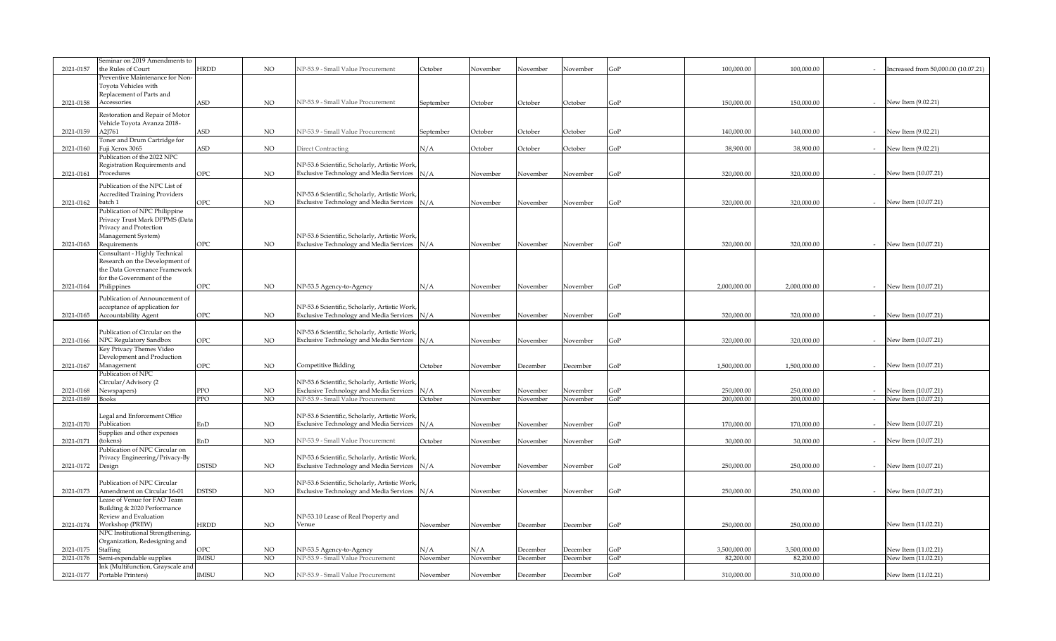|           | Seminar on 2019 Amendments to                       |              |                |                                                |           |          |                 |          |     |              |              |        |                                     |
|-----------|-----------------------------------------------------|--------------|----------------|------------------------------------------------|-----------|----------|-----------------|----------|-----|--------------|--------------|--------|-------------------------------------|
| 2021-0157 | the Rules of Court                                  | HRDD         | NO             | NP-53.9 - Small Value Procurement              | October   | November | November        | November | GoP | 100,000.00   | 100,000.00   |        | Increased from 50,000.00 (10.07.21) |
|           | Preventive Maintenance for Non-                     |              |                |                                                |           |          |                 |          |     |              |              |        |                                     |
|           | Toyota Vehicles with<br>Replacement of Parts and    |              |                |                                                |           |          |                 |          |     |              |              |        |                                     |
| 2021-0158 | Accessories                                         | <b>\SD</b>   | NO.            | NP-53.9 - Small Value Procurement              | September | October  | October         | October  | GoP | 150,000.00   | 150,000.00   |        | New Item (9.02.21)                  |
|           |                                                     |              |                |                                                |           |          |                 |          |     |              |              |        |                                     |
|           | Restoration and Repair of Motor                     |              |                |                                                |           |          |                 |          |     |              |              |        |                                     |
| 2021-0159 | Vehicle Toyota Avanza 2018-<br>A2J761               | <b>\SD</b>   | NO.            | VP-53.9 - Small Value Procurement              | September | October  | October         | October  | GoP | 140,000.00   | 140,000.00   |        | New Item (9.02.21)                  |
|           | Toner and Drum Cartridge for                        |              |                |                                                |           |          |                 |          |     |              |              |        |                                     |
| 2021-0160 | Fuji Xerox 3065                                     | <b>SD</b>    | NO             | Direct Contracting                             | N/A       | October  | October         | October  | GoP | 38,900.00    | 38,900.00    |        | New Item (9.02.21)                  |
|           | Publication of the 2022 NPC                         |              |                |                                                |           |          |                 |          |     |              |              |        |                                     |
|           | Registration Requirements and                       |              |                | NP-53.6 Scientific, Scholarly, Artistic Work   |           |          |                 |          |     |              |              |        |                                     |
| 2021-0161 | Procedures                                          | OPC          | NO.            | Exclusive Technology and Media Services N/A    |           | November | November        | November | GoP | 320,000.00   | 320,000.00   |        | New Item (10.07.21)                 |
|           | Publication of the NPC List of                      |              |                |                                                |           |          |                 |          |     |              |              |        |                                     |
|           | <b>Accredited Training Providers</b>                |              |                | NP-53.6 Scientific, Scholarly, Artistic Work   |           |          |                 |          |     |              |              |        |                                     |
| 2021-0162 | batch 1                                             | OPC          | $_{\rm NO}$    | Exclusive Technology and Media Services        | N/A       | November | November        | November | GoP | 320,000.00   | 320,000.00   |        | New Item (10.07.21)                 |
|           | Publication of NPC Philippine                       |              |                |                                                |           |          |                 |          |     |              |              |        |                                     |
|           | Privacy Trust Mark DPPMS (Data                      |              |                |                                                |           |          |                 |          |     |              |              |        |                                     |
|           | Privacy and Protection                              |              |                |                                                |           |          |                 |          |     |              |              |        |                                     |
|           | Management System)                                  | OPC          |                | NP-53.6 Scientific, Scholarly, Artistic Work   |           |          |                 |          |     | 320,000.00   |              |        |                                     |
| 2021-0163 | Requirements<br>Consultant - Highly Technical       |              | $_{\rm NO}$    | Exclusive Technology and Media Services        | N/A       | November | November        | November | GoP |              | 320,000.00   |        | New Item (10.07.21)                 |
|           | Research on the Development of                      |              |                |                                                |           |          |                 |          |     |              |              |        |                                     |
|           | the Data Governance Framework                       |              |                |                                                |           |          |                 |          |     |              |              |        |                                     |
|           | for the Government of the                           |              |                |                                                |           |          |                 |          |     |              |              |        |                                     |
| 2021-0164 | Philippines                                         | OPC          | NO             | NP-53.5 Agency-to-Agency                       | N/A       | November | November        | November | GoP | 2,000,000.00 | 2,000,000.00 |        | New Item (10.07.21)                 |
|           | Publication of Announcement of                      |              |                |                                                |           |          |                 |          |     |              |              |        |                                     |
|           | acceptance of application for                       |              |                | NP-53.6 Scientific, Scholarly, Artistic Work,  |           |          |                 |          |     |              |              |        |                                     |
| 2021-0165 | Accountability Agent                                | ЭPС          | NO.            | Exclusive Technology and Media Services N/A    |           | November | November        | November | GoP | 320,000,00   | 320,000.00   |        | New Item (10.07.21)                 |
|           |                                                     |              |                |                                                |           |          |                 |          |     |              |              |        |                                     |
|           | Publication of Circular on the                      |              |                | NP-53.6 Scientific, Scholarly, Artistic Work   |           |          |                 |          |     |              |              |        |                                     |
| 2021-0166 | NPC Regulatory Sandbox                              | OPC          | NO             | Exclusive Technology and Media Services N/A    |           | November | November        | November | GoP | 320,000.00   | 320,000.00   |        | New Item (10.07.21)                 |
|           | Key Privacy Themes Video                            |              |                |                                                |           |          |                 |          |     |              |              |        |                                     |
|           | Development and Production                          |              |                |                                                |           |          |                 |          |     | 1,500,000,00 |              |        |                                     |
| 2021-0167 | Management<br>Publication of NPC                    | ЭPС          | NO.            | Competitive Bidding                            | October   | November | <b>December</b> | December | GoP |              | 1,500,000.00 |        | New Item (10.07.21)                 |
|           | Circular/Advisory (2                                |              |                | NP-53.6 Scientific, Scholarly, Artistic Work   |           |          |                 |          |     |              |              |        |                                     |
| 2021-0168 | Newspapers)                                         | PPO          | NO.            | <b>Exclusive Technology and Media Services</b> | N/A       | November | November        | November | GoP | 250.000.00   | 250,000,00   |        | New Item (10.07.21)                 |
| 2021-0169 | <b>Books</b>                                        | PPO          | N <sub>O</sub> | NP-53.9 - Small Value Procurement              | October   | November | November        | November | GoP | 200,000.00   | 200,000.00   | $\sim$ | New Item (10.07.21)                 |
|           |                                                     |              |                |                                                |           |          |                 |          |     |              |              |        |                                     |
|           | Legal and Enforcement Office                        |              |                | NP-53.6 Scientific, Scholarly, Artistic Work   |           |          |                 |          |     |              |              |        |                                     |
| 2021-0170 | Publication                                         | EnD          | $_{\rm NO}$    | Exclusive Technology and Media Services N/A    |           | November | November        | November | GoP | 170,000.00   | 170,000.00   |        | New Item (10.07.21)                 |
|           | Supplies and other expenses                         |              |                |                                                |           |          |                 |          |     |              |              |        |                                     |
| 2021-0171 | (tokens)<br>Publication of NPC Circular on          | EnD          | NO.            | NP-53.9 - Small Value Procurement              | October   | November | November        | November | GoP | 30,000.00    | 30,000.00    |        | New Item (10.07.21)                 |
|           | Privacy Engineering/Privacy-By                      |              |                | NP-53.6 Scientific, Scholarly, Artistic Work   |           |          |                 |          |     |              |              |        |                                     |
| 2021-0172 | Design                                              | <b>OSTSD</b> | NO             | Exclusive Technology and Media Services N/A    |           | November | November        | November | GoP | 250,000.00   | 250,000.00   |        | New Item (10.07.21)                 |
|           |                                                     |              |                |                                                |           |          |                 |          |     |              |              |        |                                     |
|           | Publication of NPC Circular                         |              |                | NP-53.6 Scientific, Scholarly, Artistic Work   |           |          |                 |          |     |              |              |        |                                     |
| 2021-0173 | Amendment on Circular 16-01                         | <b>OSTSD</b> | NO             | Exclusive Technology and Media Services N/A    |           | November | November        | November | GoP | 250,000.00   | 250,000.00   |        | New Item (10.07.21)                 |
|           | Lease of Venue for FAO Team                         |              |                |                                                |           |          |                 |          |     |              |              |        |                                     |
|           | Building & 2020 Performance                         |              |                |                                                |           |          |                 |          |     |              |              |        |                                     |
|           | Review and Evaluation                               | <b>HRDD</b>  |                | NP-53.10 Lease of Real Property and            |           |          |                 |          |     |              |              |        |                                     |
| 2021-0174 | Workshop (PREW)<br>NPC Institutional Strengthening, |              | NO.            | Venue                                          | November  | November | <b>December</b> | December | GoP | 250,000.00   | 250,000.00   |        | New Item (11.02.21)                 |
|           | Organization, Redesigning and                       |              |                |                                                |           |          |                 |          |     |              |              |        |                                     |
| 2021-0175 | Staffing                                            | ЭPС          | NO.            | NP-53.5 Agency-to-Agency                       | N/A       | N/A      | <b>December</b> | December | GoP | 3,500,000.00 | 3.500.000.00 |        | New Item (11.02.21)                 |
| 2021-0176 | Semi-expendable supplies                            | <b>IMISU</b> | NO             | NP-53.9 - Small Value Procurement              | November  | November | <b>December</b> | December | GoP | 82,200.00    | 82,200.00    |        | New Item (11.02.21)                 |
|           | Ink (Multifunction, Grayscale and                   |              |                |                                                |           |          |                 |          |     |              |              |        |                                     |
|           | Portable Printers)                                  | IMISU        | $_{\rm NO}$    | NP-53.9 - Small Value Procurement              | November  | November | December        | December | GoP | 310,000.00   | 310,000.00   |        | New Item (11.02.21)                 |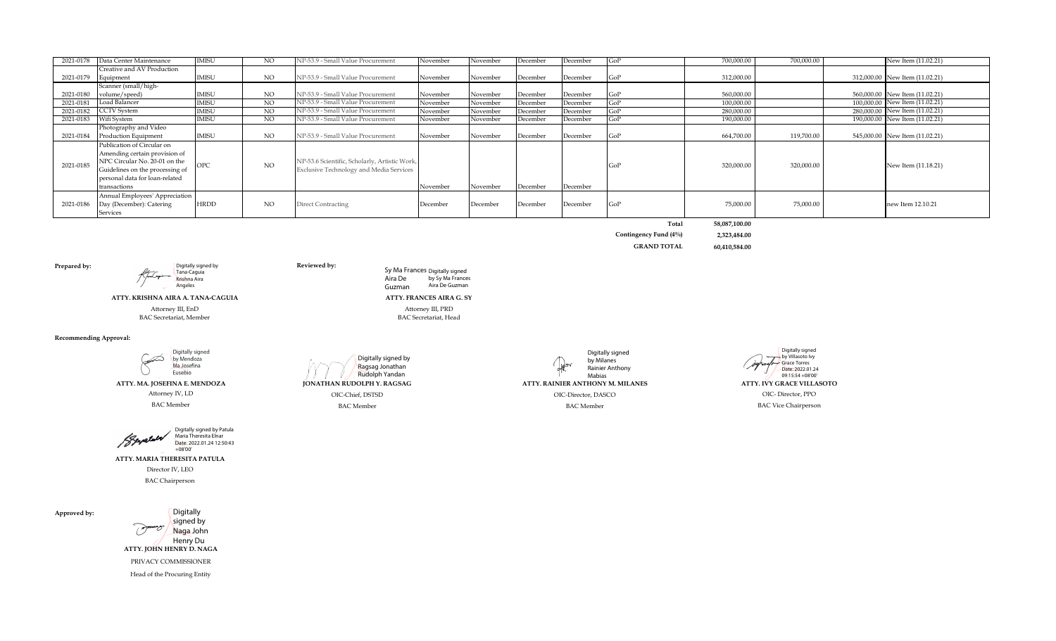| 2021-0178 | Data Center Maintenance         | <b>IMISU</b>         | NO  | NP-53.9 - Small Value Procurement             | November | November | December | December | GoP        | 700,000.00 | 700,000.00 | New Item (11.02.21)            |
|-----------|---------------------------------|----------------------|-----|-----------------------------------------------|----------|----------|----------|----------|------------|------------|------------|--------------------------------|
|           | Creative and AV Production      |                      |     |                                               |          |          |          |          |            |            |            |                                |
| 2021-0179 | Equipment                       | <b>IMISU</b>         | NO  | NP-53.9 - Small Value Procurement             | November | November | December | December | GoP        | 312,000.00 |            | 312,000.00 New Item (11.02.21) |
|           | Scanner (small/high-            |                      |     |                                               |          |          |          |          |            |            |            |                                |
| 2021-0180 | volume/speed)                   | <b>IMISU</b>         | NO  | NP-53.9 - Small Value Procurement             | November | November | December | December | GoP        | 560,000.00 |            | 560,000.00 New Item (11.02.21) |
| 2021-0181 | Load Balancer                   | <b>IMISU</b>         | NO  | NP-53.9 - Small Value Procurement             | November | November | December | December | GoP        | 100,000.00 |            | 100,000,00 New Item (11.02.21) |
| 2021-0182 | <b>CCTV</b> System              | <b>IMISU</b>         | NO. | NP-53.9 - Small Value Procurement             | November | November | December | December | GoP        | 280.000.00 |            | 280,000.00 New Item (11.02.21) |
| 2021-0183 | Wifi System                     | <b>IMISU</b>         | NO  | NP-53.9 - Small Value Procurement             | November | November | December | December | GoP        | 190,000.00 |            | 190,000.00 New Item (11.02.21) |
|           | Photography and Video           |                      |     |                                               |          |          |          |          |            |            |            |                                |
| 2021-0184 | Production Equipment            | <b>IMISU</b>         | NO  | NP-53.9 - Small Value Procurement             | November | November | December | December | <b>GoP</b> | 664,700.00 | 119,700.00 | 545,000.00 New Item (11.02.21) |
|           | Publication of Circular on      |                      |     |                                               |          |          |          |          |            |            |            |                                |
|           | Amending certain provision of   |                      |     |                                               |          |          |          |          |            |            |            |                                |
| 2021-0185 | NPC Circular No. 20-01 on the   | $\cap$ <sub>DC</sub> | NO  | NP-53.6 Scientific, Scholarly, Artistic Work, |          |          |          |          | GoP        | 320,000.00 | 320,000.00 | New Item (11.18.21)            |
|           | Guidelines on the processing of |                      |     | Exclusive Technology and Media Services       |          |          |          |          |            |            |            |                                |
|           | personal data for loan-related  |                      |     |                                               |          |          |          |          |            |            |            |                                |
|           | transactions                    |                      |     |                                               | November | November | December | December |            |            |            |                                |
|           | Annual Employees' Appreciation  |                      |     |                                               |          |          |          |          |            |            |            |                                |
| 2021-0186 | Day (December): Catering        | <b>HRDD</b>          | NO  | Direct Contracting                            | December | December | December | December | GoP        | 75,000.00  | 75,000.00  | new Item 12.10.21              |
|           | Services                        |                      |     |                                               |          |          |          |          |            |            |            |                                |

**Total 58,087,100.00**

**Contingency Fund (4%) 2,323,484.00 GRAND TOTAL 60,410,584.00**

**Prepared by:**<br> **Prepared by:**<br> **Reviewed by:**<br> **Reviewed by:**<br> **Reviewed by:** 

**ATTY. KRISHNA AIRA A. TANA-CAGUIA**

Krishna Aira Angeles

BAC Secretariat, Member Attorney III, EnD

**Recommending Approval:**

Digitally signed Í by Mendoza Ma Josefina Eusebio

 **ATTY. MA. JOSEFINA E. MENDOZA**  Attorney IV, LD BAC Member

Digitally signed by Patula Maria Theresita Elnar Beyatula Date: 2022.01.24 12:50:43 +08'00'

Director IV, LEO **ATTY. MARIA THERESITA PATULA**

BAC Chairperson

**Approved by:**



 **ATTY. JOHN HENRY D. NAGA** 

PRIVACY COMMISSIONER

Head of the Procuring Entity

Digitally signed by Ragsag Jonathan Rudolph Yandan

Digitally signed by Milanes ₩ Rainier Anthony Mabias **JONATHAN RUDOLPH Y. RAGSAG ATTY. RAINIER ANTHONY M. MILANES ATTY. IVY GRACE VILLASOTO** OIC-Chief, DSTSD OIC-Chief, DSTSD OIC-Chief, DSTSD OIC-Chief, DSTSD OIC-Chief, DSTSD OIC-Chief, DSTSD OIC-Chief, DSTSD OIC-Chief, DSTSD OIC-Chief, DSTSD OIC-Chief, DSTSD OIC-Chief, DSTSD OIC-Chief, DSTSD OIC-Chief, DSTSD O

Grace Torres Date: 2022.01.24 09:15:54 +08'00'

Digitally signed by Villasoto Ivy

Aira De Guzman

BAC Member BAC Vice Chairperson BAC Vice Chairperson

Attorney III, PRD BAC Secretariat, Head

by Sy Ma Frances Aira De Guzman

**ATTY. FRANCES AIRA G. SY**

Sy Ma Frances Digitally signed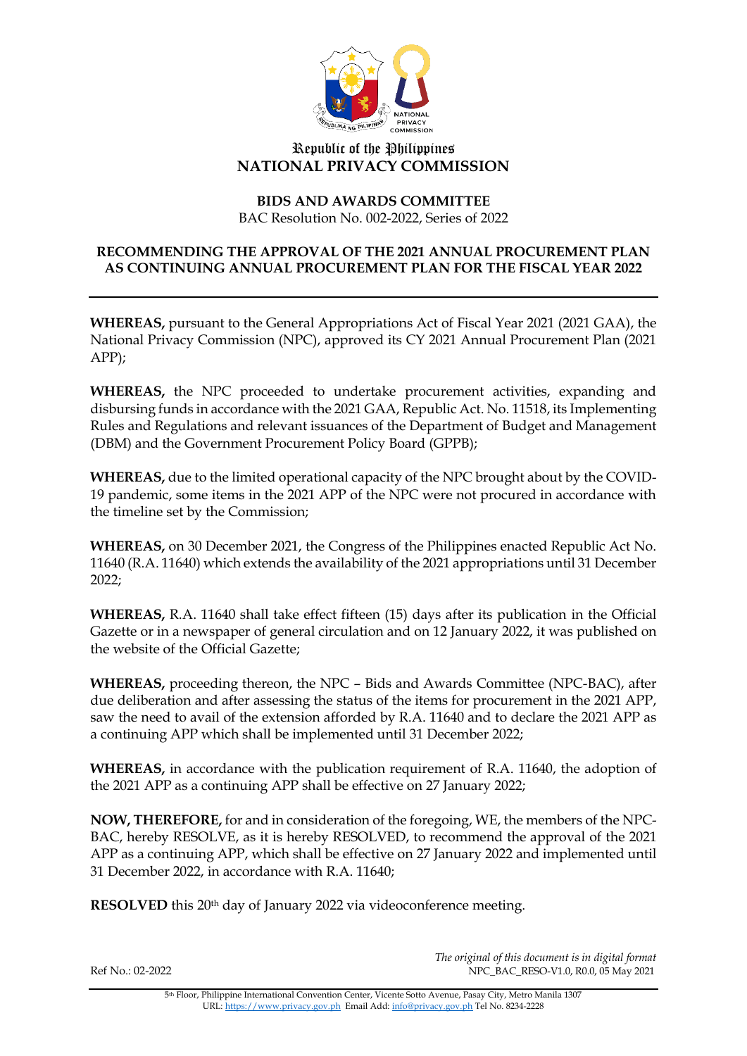

# Republic of the Philippines **NATIONAL PRIVACY COMMISSION**

### **BIDS AND AWARDS COMMITTEE** BAC Resolution No. 002-2022, Series of 2022

## **RECOMMENDING THE APPROVAL OF THE 2021 ANNUAL PROCUREMENT PLAN AS CONTINUING ANNUAL PROCUREMENT PLAN FOR THE FISCAL YEAR 2022**

**WHEREAS,** pursuant to the General Appropriations Act of Fiscal Year 2021 (2021 GAA), the National Privacy Commission (NPC), approved its CY 2021 Annual Procurement Plan (2021 APP);

**WHEREAS,** the NPC proceeded to undertake procurement activities, expanding and disbursing funds in accordance with the 2021 GAA, Republic Act. No. 11518, its Implementing Rules and Regulations and relevant issuances of the Department of Budget and Management (DBM) and the Government Procurement Policy Board (GPPB);

**WHEREAS,** due to the limited operational capacity of the NPC brought about by the COVID-19 pandemic, some items in the 2021 APP of the NPC were not procured in accordance with the timeline set by the Commission;

**WHEREAS,** on 30 December 2021, the Congress of the Philippines enacted Republic Act No. 11640 (R.A. 11640) which extends the availability of the 2021 appropriations until 31 December 2022;

**WHEREAS,** R.A. 11640 shall take effect fifteen (15) days after its publication in the Official Gazette or in a newspaper of general circulation and on 12 January 2022, it was published on the website of the Official Gazette;

**WHEREAS,** proceeding thereon, the NPC – Bids and Awards Committee (NPC-BAC), after due deliberation and after assessing the status of the items for procurement in the 2021 APP, saw the need to avail of the extension afforded by R.A. 11640 and to declare the 2021 APP as a continuing APP which shall be implemented until 31 December 2022;

**WHEREAS,** in accordance with the publication requirement of R.A. 11640, the adoption of the 2021 APP as a continuing APP shall be effective on 27 January 2022;

**NOW, THEREFORE,** for and in consideration of the foregoing, WE, the members of the NPC-BAC, hereby RESOLVE, as it is hereby RESOLVED, to recommend the approval of the 2021 APP as a continuing APP, which shall be effective on 27 January 2022 and implemented until 31 December 2022, in accordance with R.A. 11640;

**RESOLVED** this 20<sup>th</sup> day of January 2022 via videoconference meeting.

*The original of this document is in digital format* Ref No.: 02-2022 NPC\_BAC\_RESO-V1.0, R0.0, 05 May 2021